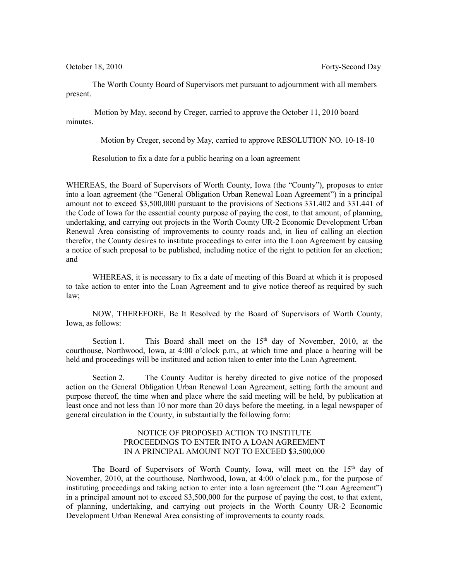The Worth County Board of Supervisors met pursuant to adjournment with all members present.

 Motion by May, second by Creger, carried to approve the October 11, 2010 board minutes.

Motion by Creger, second by May, carried to approve RESOLUTION NO. 10-18-10

Resolution to fix a date for a public hearing on a loan agreement

WHEREAS, the Board of Supervisors of Worth County, Iowa (the "County"), proposes to enter into a loan agreement (the "General Obligation Urban Renewal Loan Agreement") in a principal amount not to exceed \$3,500,000 pursuant to the provisions of Sections 331.402 and 331.441 of the Code of Iowa for the essential county purpose of paying the cost, to that amount, of planning, undertaking, and carrying out projects in the Worth County UR-2 Economic Development Urban Renewal Area consisting of improvements to county roads and, in lieu of calling an election therefor, the County desires to institute proceedings to enter into the Loan Agreement by causing a notice of such proposal to be published, including notice of the right to petition for an election; and

WHEREAS, it is necessary to fix a date of meeting of this Board at which it is proposed to take action to enter into the Loan Agreement and to give notice thereof as required by such law;

NOW, THEREFORE, Be It Resolved by the Board of Supervisors of Worth County, Iowa, as follows:

Section 1. This Board shall meet on the  $15<sup>th</sup>$  day of November, 2010, at the courthouse, Northwood, Iowa, at 4:00 o'clock p.m., at which time and place a hearing will be held and proceedings will be instituted and action taken to enter into the Loan Agreement.

Section 2. The County Auditor is hereby directed to give notice of the proposed action on the General Obligation Urban Renewal Loan Agreement, setting forth the amount and purpose thereof, the time when and place where the said meeting will be held, by publication at least once and not less than 10 nor more than 20 days before the meeting, in a legal newspaper of general circulation in the County, in substantially the following form:

## NOTICE OF PROPOSED ACTION TO INSTITUTE PROCEEDINGS TO ENTER INTO A LOAN AGREEMENT IN A PRINCIPAL AMOUNT NOT TO EXCEED \$3,500,000

The Board of Supervisors of Worth County, Iowa, will meet on the  $15<sup>th</sup>$  day of November, 2010, at the courthouse, Northwood, Iowa, at 4:00 o'clock p.m., for the purpose of instituting proceedings and taking action to enter into a loan agreement (the "Loan Agreement") in a principal amount not to exceed \$3,500,000 for the purpose of paying the cost, to that extent, of planning, undertaking, and carrying out projects in the Worth County UR-2 Economic Development Urban Renewal Area consisting of improvements to county roads.